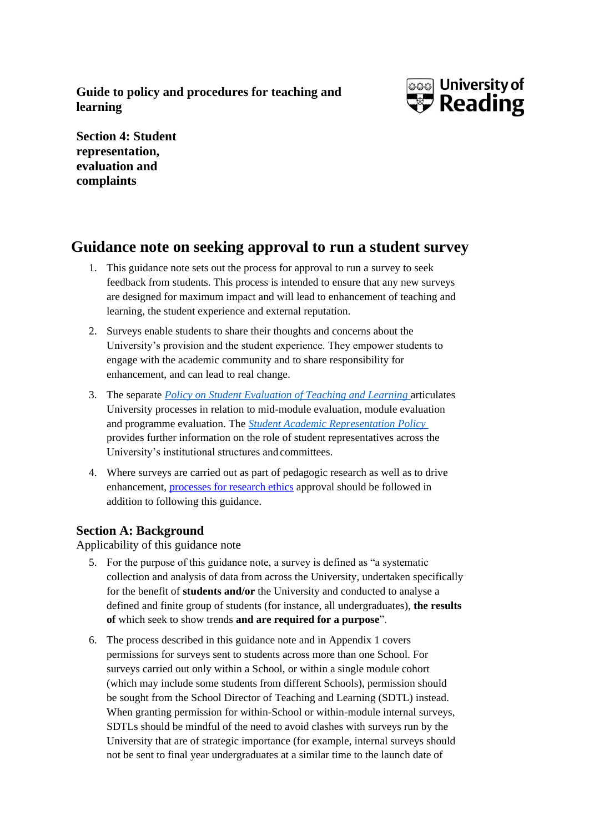**Guide to policy and procedures for teaching and learning**



**Section 4: Student representation, evaluation and complaints**

## **Guidance note on seeking approval to run a student survey**

- 1. This guidance note sets out the process for approval to run a survey to seek feedback from students. This process is intended to ensure that any new surveys are designed for maximum impact and will lead to enhancement of teaching and learning, the student experience and external reputation.
- 2. Surveys enable students to share their thoughts and concerns about the University's provision and the student experience. They empower students to engage with the academic community and to share responsibility for enhancement, and can lead to real change.
- 3. The separate *Policy on Student Evaluation of Teaching and Learning* articulates University processes in relation to mid-module evaluation, module evaluation and programme evaluation. The *Student Academic Representation Policy*  provides further information on the role of student representatives across the University's institutional structures and committees.
- 4. Where surveys are carried out as part of pedagogic research as well as to drive enhancement, [processes for research ethics](http://www.reading.ac.uk/internal/academic-and-governance-services/research-ethics/RECethicshomepage.aspx) approval should be followed in addition to following this guidance.

### **Section A: Background**

Applicability of this guidance note

- 5. For the purpose of this guidance note, a survey is defined as "a systematic collection and analysis of data from across the University, undertaken specifically for the benefit of **students and/or** the University and conducted to analyse a defined and finite group of students (for instance, all undergraduates), **the results of** which seek to show trends **and are required for a purpose**".
- 6. The process described in this guidance note and in Appendix 1 covers permissions for surveys sent to students across more than one School. For surveys carried out only within a School, or within a single module cohort (which may include some students from different Schools), permission should be sought from the School Director of Teaching and Learning (SDTL) instead. When granting permission for within-School or within-module internal surveys, SDTLs should be mindful of the need to avoid clashes with surveys run by the University that are of strategic importance (for example, internal surveys should not be sent to final year undergraduates at a similar time to the launch date of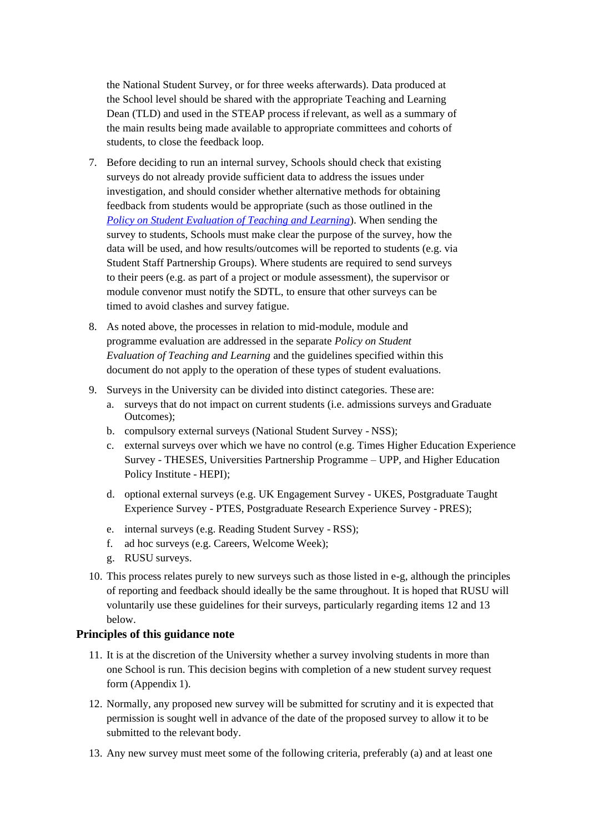the National Student Survey, or for three weeks afterwards). Data produced at the School level should be shared with the appropriate Teaching and Learning Dean (TLD) and used in the STEAP process ifrelevant, as well as a summary of the main results being made available to appropriate committees and cohorts of students, to close the feedback loop.

- 7. Before deciding to run an internal survey, Schools should check that existing surveys do not already provide sufficient data to address the issues under investigation, and should consider whether alternative methods for obtaining feedback from students would be appropriate (such as those outlined in the *[Policy on Student Evaluation of Teaching and Learning](http://www.reading.ac.uk/web/files/cqsd/Student_Evaluation_Policy.pdf)*). When sending the survey to students, Schools must make clear the purpose of the survey, how the data will be used, and how results/outcomes will be reported to students (e.g. via Student Staff Partnership Groups). Where students are required to send surveys to their peers (e.g. as part of a project or module assessment), the supervisor or module convenor must notify the SDTL, to ensure that other surveys can be timed to avoid clashes and survey fatigue.
- 8. As noted above, the processes in relation to mid-module, module and programme evaluation are addressed in the separate *Policy on Student Evaluation of Teaching and Learning* and the guidelines specified within this document do not apply to the operation of these types of student evaluations.
- 9. Surveys in the University can be divided into distinct categories. These are:
	- a. surveys that do not impact on current students (i.e. admissions surveys and Graduate Outcomes);
	- b. compulsory external surveys (National Student Survey NSS);
	- c. external surveys over which we have no control (e.g. Times Higher Education Experience Survey - THESES, Universities Partnership Programme – UPP, and Higher Education Policy Institute - HEPI);
	- d. optional external surveys (e.g. UK Engagement Survey UKES, Postgraduate Taught Experience Survey - PTES, Postgraduate Research Experience Survey - PRES);
	- e. internal surveys (e.g. Reading Student Survey RSS);
	- f. ad hoc surveys (e.g. Careers, Welcome Week);
	- g. RUSU surveys.
- 10. This process relates purely to new surveys such as those listed in e-g, although the principles of reporting and feedback should ideally be the same throughout. It is hoped that RUSU will voluntarily use these guidelines for their surveys, particularly regarding items 12 and 13 below.

#### **Principles of this guidance note**

- 11. It is at the discretion of the University whether a survey involving students in more than one School is run. This decision begins with completion of a new student survey request form (Appendix 1).
- 12. Normally, any proposed new survey will be submitted for scrutiny and it is expected that permission is sought well in advance of the date of the proposed survey to allow it to be submitted to the relevant body.
- 13. Any new survey must meet some of the following criteria, preferably (a) and at least one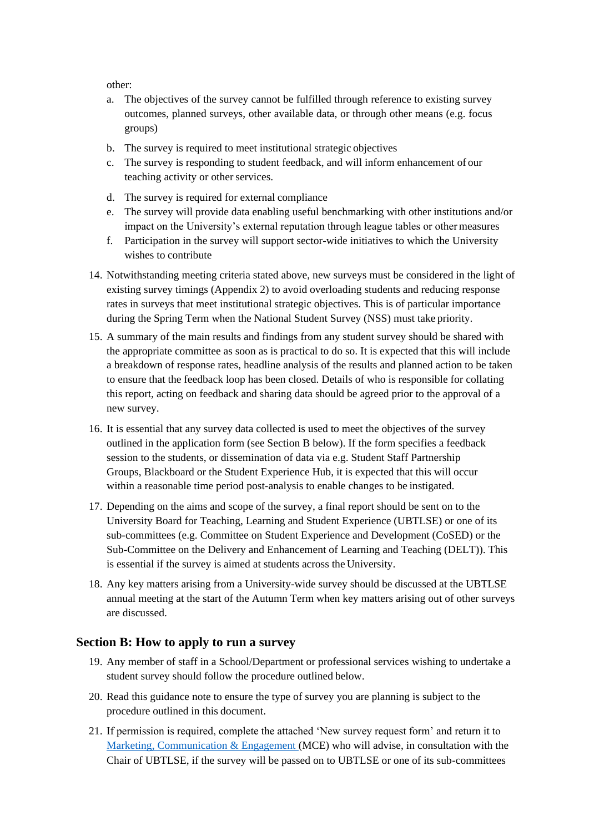other:

- a. The objectives of the survey cannot be fulfilled through reference to existing survey outcomes, planned surveys, other available data, or through other means (e.g. focus groups)
- b. The survey is required to meet institutional strategic objectives
- c. The survey is responding to student feedback, and will inform enhancement of our teaching activity or other services.
- d. The survey is required for external compliance
- e. The survey will provide data enabling useful benchmarking with other institutions and/or impact on the University's external reputation through league tables or other measures
- f. Participation in the survey will support sector-wide initiatives to which the University wishes to contribute
- 14. Notwithstanding meeting criteria stated above, new surveys must be considered in the light of existing survey timings (Appendix 2) to avoid overloading students and reducing response rates in surveys that meet institutional strategic objectives. This is of particular importance during the Spring Term when the National Student Survey (NSS) must take priority.
- 15. A summary of the main results and findings from any student survey should be shared with the appropriate committee as soon as is practical to do so. It is expected that this will include a breakdown of response rates, headline analysis of the results and planned action to be taken to ensure that the feedback loop has been closed. Details of who is responsible for collating this report, acting on feedback and sharing data should be agreed prior to the approval of a new survey.
- 16. It is essential that any survey data collected is used to meet the objectives of the survey outlined in the application form (see Section B below). If the form specifies a feedback session to the students, or dissemination of data via e.g. Student Staff Partnership Groups, Blackboard or the Student Experience Hub, it is expected that this will occur within a reasonable time period post-analysis to enable changes to be instigated.
- 17. Depending on the aims and scope of the survey, a final report should be sent on to the University Board for Teaching, Learning and Student Experience (UBTLSE) or one of its sub-committees (e.g. Committee on Student Experience and Development (CoSED) or the Sub-Committee on the Delivery and Enhancement of Learning and Teaching (DELT)). This is essential if the survey is aimed at students across the University.
- 18. Any key matters arising from a University-wide survey should be discussed at the UBTLSE annual meeting at the start of the Autumn Term when key matters arising out of other surveys are discussed.

#### **Section B: How to apply to run a survey**

- 19. Any member of staff in a School/Department or professional services wishing to undertake a student survey should follow the procedure outlined below.
- 20. Read this guidance note to ensure the type of survey you are planning is subject to the procedure outlined in this document.
- 21. If permission is required, complete the attached 'New survey request form' and return it to Marketing, Communication & Engagement (MCE) who will advise, in consultation with the Chair of UBTLSE, if the survey will be passed on to UBTLSE or one of its sub-committees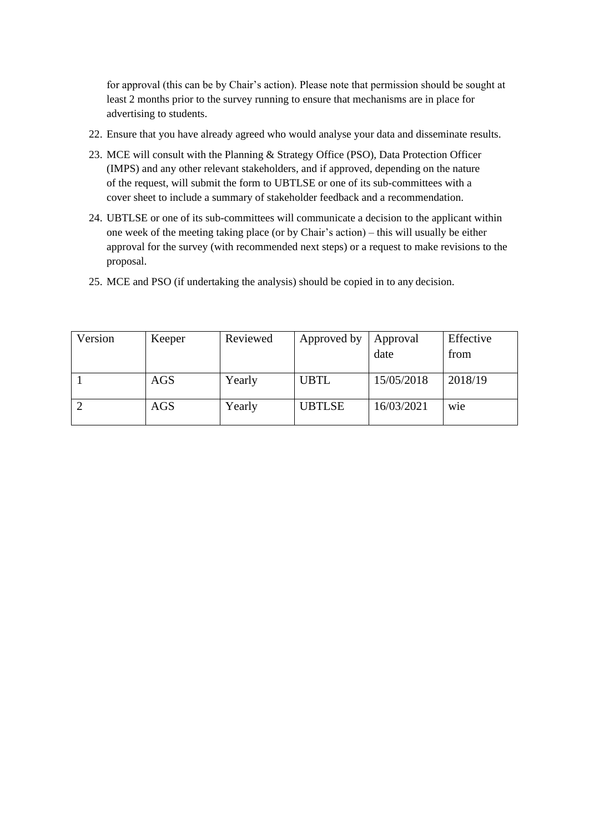for approval (this can be by Chair's action). Please note that permission should be sought at least 2 months prior to the survey running to ensure that mechanisms are in place for advertising to students.

- 22. Ensure that you have already agreed who would analyse your data and disseminate results.
- 23. MCE will consult with the Planning & Strategy Office (PSO), Data Protection Officer (IMPS) and any other relevant stakeholders, and if approved, depending on the nature of the request, will submit the form to UBTLSE or one of its sub-committees with a cover sheet to include a summary of stakeholder feedback and a recommendation.
- 24. UBTLSE or one of its sub-committees will communicate a decision to the applicant within one week of the meeting taking place (or by Chair's action) – this will usually be either approval for the survey (with recommended next steps) or a request to make revisions to the proposal.
- 25. MCE and PSO (if undertaking the analysis) should be copied in to any decision.

| Version | Keeper | Reviewed | Approved by   | Approval   | Effective        |
|---------|--------|----------|---------------|------------|------------------|
|         |        |          |               | date       | from             |
|         | AGS    | Yearly   | <b>UBTL</b>   | 15/05/2018 | 2018/19          |
|         | AGS    | Yearly   | <b>UBTLSE</b> | 16/03/2021 | w <sub>1</sub> e |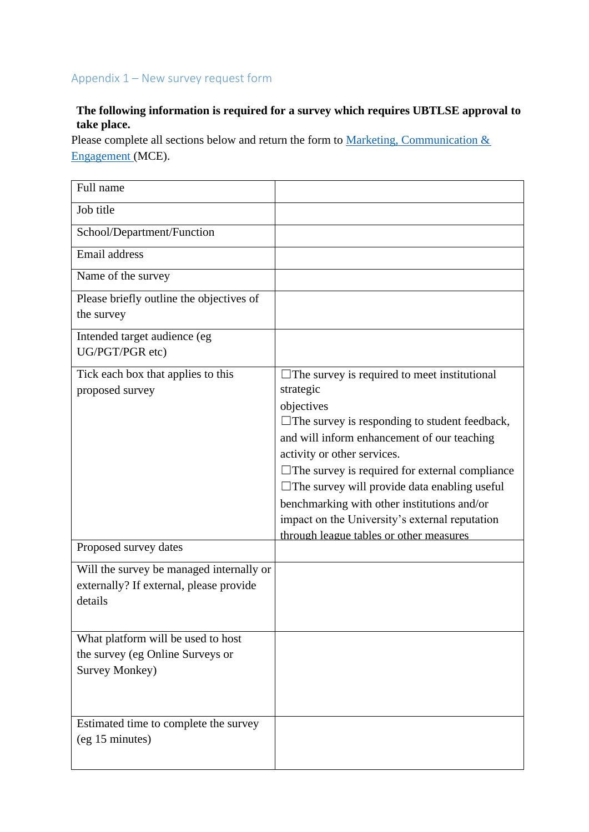### Appendix 1 – New survey request form

#### **The following information is required for a survey which requires UBTLSE approval to take place.**

Please complete all sections below and return the form to Marketing, Communication & Engagement (MCE).

| Full name                                                                                      |                                                                                                                                                                                                                                                                                                                                                                                                                                                                                  |
|------------------------------------------------------------------------------------------------|----------------------------------------------------------------------------------------------------------------------------------------------------------------------------------------------------------------------------------------------------------------------------------------------------------------------------------------------------------------------------------------------------------------------------------------------------------------------------------|
| Job title                                                                                      |                                                                                                                                                                                                                                                                                                                                                                                                                                                                                  |
| School/Department/Function                                                                     |                                                                                                                                                                                                                                                                                                                                                                                                                                                                                  |
| Email address                                                                                  |                                                                                                                                                                                                                                                                                                                                                                                                                                                                                  |
| Name of the survey                                                                             |                                                                                                                                                                                                                                                                                                                                                                                                                                                                                  |
| Please briefly outline the objectives of<br>the survey                                         |                                                                                                                                                                                                                                                                                                                                                                                                                                                                                  |
| Intended target audience (eg<br>UG/PGT/PGR etc)                                                |                                                                                                                                                                                                                                                                                                                                                                                                                                                                                  |
| Tick each box that applies to this<br>proposed survey                                          | $\Box$ The survey is required to meet institutional<br>strategic<br>objectives<br>$\Box$ The survey is responding to student feedback,<br>and will inform enhancement of our teaching<br>activity or other services.<br>$\Box$ The survey is required for external compliance<br>$\Box$ The survey will provide data enabling useful<br>benchmarking with other institutions and/or<br>impact on the University's external reputation<br>through league tables or other measures |
| Proposed survey dates                                                                          |                                                                                                                                                                                                                                                                                                                                                                                                                                                                                  |
| Will the survey be managed internally or<br>externally? If external, please provide<br>details |                                                                                                                                                                                                                                                                                                                                                                                                                                                                                  |
| What platform will be used to host<br>the survey (eg Online Surveys or<br>Survey Monkey)       |                                                                                                                                                                                                                                                                                                                                                                                                                                                                                  |
| Estimated time to complete the survey<br>(eg 15 minutes)                                       |                                                                                                                                                                                                                                                                                                                                                                                                                                                                                  |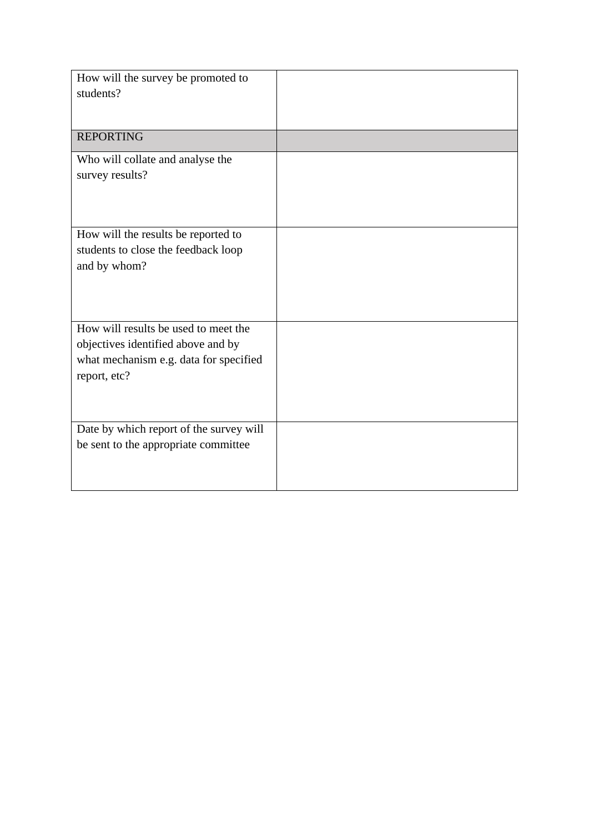| How will the survey be promoted to<br>students?                                                                                      |  |
|--------------------------------------------------------------------------------------------------------------------------------------|--|
|                                                                                                                                      |  |
| <b>REPORTING</b>                                                                                                                     |  |
| Who will collate and analyse the<br>survey results?                                                                                  |  |
| How will the results be reported to<br>students to close the feedback loop<br>and by whom?                                           |  |
| How will results be used to meet the<br>objectives identified above and by<br>what mechanism e.g. data for specified<br>report, etc? |  |
| Date by which report of the survey will<br>be sent to the appropriate committee                                                      |  |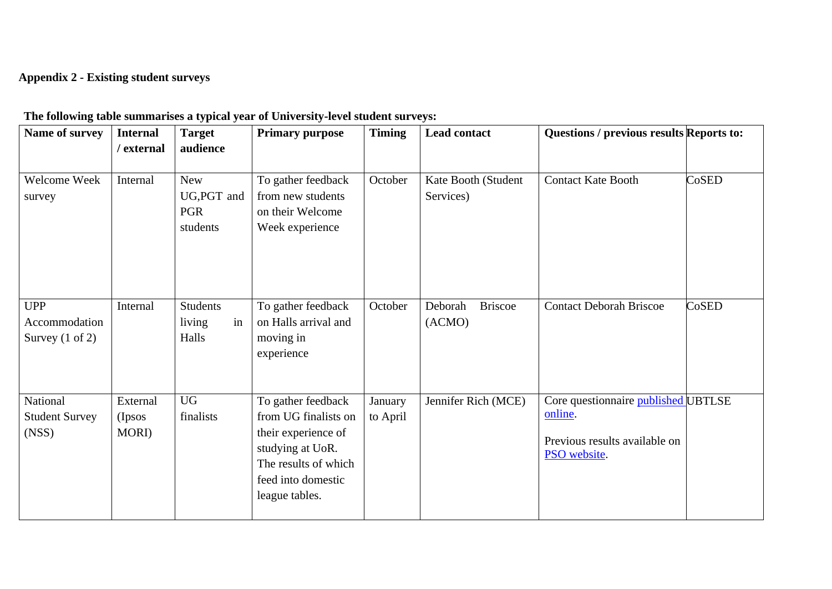# **Appendix 2 - Existing student surveys**

| Name of survey                                            | <b>Internal</b><br>/ external | <b>Target</b><br>audience                           | <b>Primary purpose</b>                                                                                                                                | <b>Timing</b>       | <b>Lead contact</b>                 | Questions / previous results Reports to:                                                        |       |
|-----------------------------------------------------------|-------------------------------|-----------------------------------------------------|-------------------------------------------------------------------------------------------------------------------------------------------------------|---------------------|-------------------------------------|-------------------------------------------------------------------------------------------------|-------|
| Welcome Week<br>survey                                    | Internal                      | <b>New</b><br>UG, PGT and<br><b>PGR</b><br>students | To gather feedback<br>from new students<br>on their Welcome<br>Week experience                                                                        | October             | Kate Booth (Student<br>Services)    | <b>Contact Kate Booth</b>                                                                       | CoSED |
| <b>UPP</b><br>Accommodation<br>Survey $(1 \text{ of } 2)$ | Internal                      | <b>Students</b><br>in<br>living<br>Halls            | To gather feedback<br>on Halls arrival and<br>moving in<br>experience                                                                                 | October             | <b>Briscoe</b><br>Deborah<br>(ACMO) | <b>Contact Deborah Briscoe</b>                                                                  | CoSED |
| National<br><b>Student Survey</b><br>(NS)                 | External<br>(Ipsos)<br>MORI)  | <b>UG</b><br>finalists                              | To gather feedback<br>from UG finalists on<br>their experience of<br>studying at UoR.<br>The results of which<br>feed into domestic<br>league tables. | January<br>to April | Jennifer Rich (MCE)                 | Core questionnaire published UBTLSE<br>online.<br>Previous results available on<br>PSO website. |       |

## **The following table summarises a typical year of University-level student surveys:**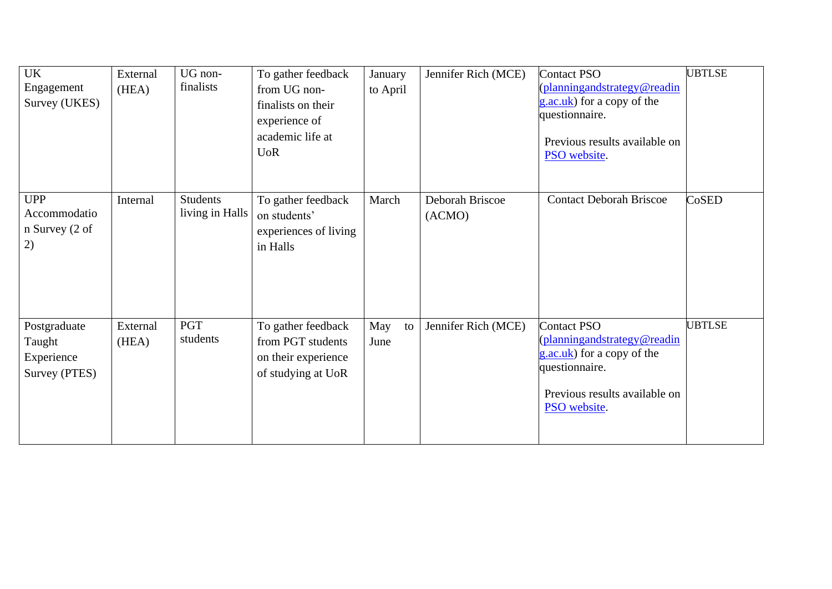| <b>UK</b><br>Engagement<br>Survey (UKES)              | External<br>(HEA) | UG non-<br>finalists               | To gather feedback<br>from UG non-<br>finalists on their<br>experience of<br>academic life at<br><b>UoR</b> | January<br>to April | Jennifer Rich (MCE)       | <b>Contact PSO</b><br>(planningandstrategy@readin<br>g.ac.uk) for a copy of the<br>questionnaire.<br>Previous results available on<br>PSO website. | <b>UBTLSE</b> |
|-------------------------------------------------------|-------------------|------------------------------------|-------------------------------------------------------------------------------------------------------------|---------------------|---------------------------|----------------------------------------------------------------------------------------------------------------------------------------------------|---------------|
| <b>UPP</b><br>Accommodatio<br>n Survey (2 of<br>2)    | Internal          | <b>Students</b><br>living in Halls | To gather feedback<br>on students'<br>experiences of living<br>in Halls                                     | March               | Deborah Briscoe<br>(ACMO) | <b>Contact Deborah Briscoe</b>                                                                                                                     | CoSED         |
| Postgraduate<br>Taught<br>Experience<br>Survey (PTES) | External<br>(HEA) | <b>PGT</b><br>students             | To gather feedback<br>from PGT students<br>on their experience<br>of studying at UoR                        | May<br>to<br>June   | Jennifer Rich (MCE)       | <b>Contact PSO</b><br>planningandstrategy@readin<br>g.ac.uk) for a copy of the<br>questionnaire.<br>Previous results available on<br>PSO website.  | <b>UBTLSE</b> |